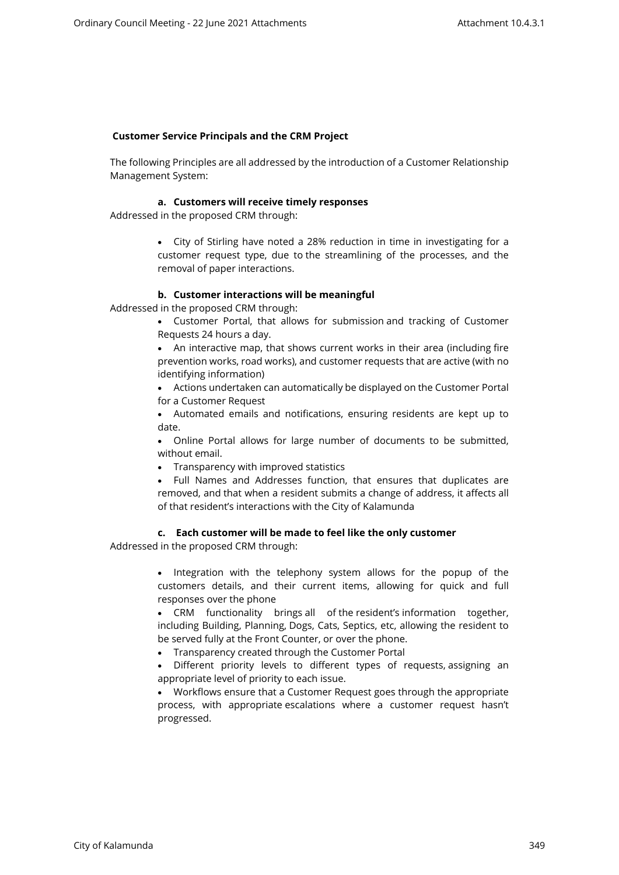# **Customer Service Principals and the CRM Project**

The following Principles are all addressed by the introduction of a Customer Relationship Management System:

## **a. Customers will receive timely responses**

Addressed in the proposed CRM through:

 City of Stirling have noted a 28% reduction in time in investigating for a customer request type, due to the streamlining of the processes, and the removal of paper interactions.

## **b. Customer interactions will be meaningful**

Addressed in the proposed CRM through:

- Customer Portal, that allows for submission and tracking of Customer Requests 24 hours a day.
- An interactive map, that shows current works in their area (including fire prevention works, road works), and customer requests that are active (with no identifying information)
- Actions undertaken can automatically be displayed on the Customer Portal for a Customer Request
- Automated emails and notifications, ensuring residents are kept up to date.
- Online Portal allows for large number of documents to be submitted, without email.
- Transparency with improved statistics
- Full Names and Addresses function, that ensures that duplicates are removed, and that when a resident submits a change of address, it affects all of that resident's interactions with the City of Kalamunda

# **c. Each customer will be made to feel like the only customer**

Addressed in the proposed CRM through:

• Integration with the telephony system allows for the popup of the customers details, and their current items, allowing for quick and full responses over the phone

 CRM functionality brings all of the resident's information together, including Building, Planning, Dogs, Cats, Septics, etc, allowing the resident to be served fully at the Front Counter, or over the phone.

- Transparency created through the Customer Portal
- Different priority levels to different types of requests, assigning an appropriate level of priority to each issue.

 Workflows ensure that a Customer Request goes through the appropriate process, with appropriate escalations where a customer request hasn't progressed.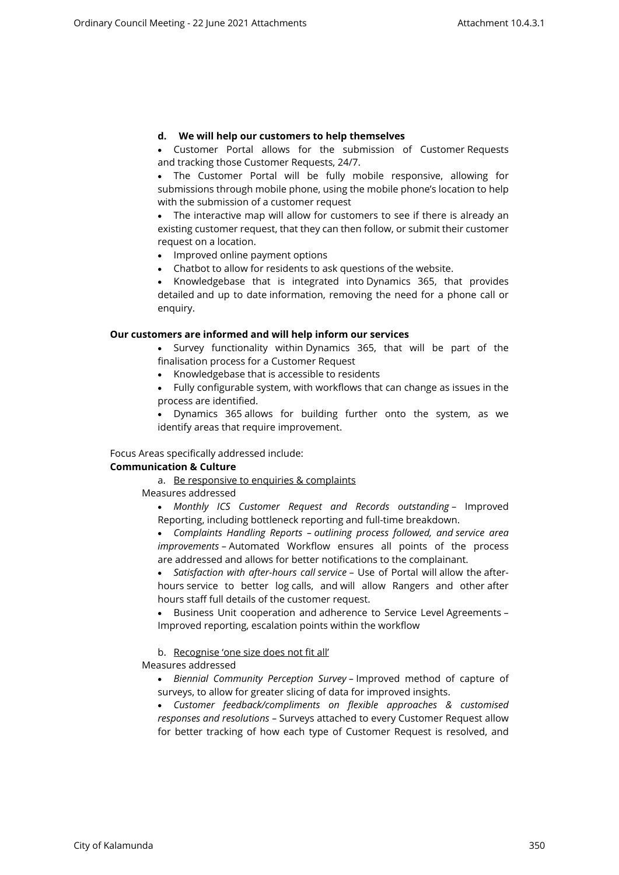# **d. We will help our customers to help themselves**

 Customer Portal allows for the submission of Customer Requests and tracking those Customer Requests, 24/7.

 The Customer Portal will be fully mobile responsive, allowing for submissions through mobile phone, using the mobile phone's location to help with the submission of a customer request

 The interactive map will allow for customers to see if there is already an existing customer request, that they can then follow, or submit their customer request on a location.

• Improved online payment options

Chatbot to allow for residents to ask questions of the website.

• Knowledgebase that is integrated into Dynamics 365, that provides detailed and up to date information, removing the need for a phone call or enquiry.

#### **Our customers are informed and will help inform our services**

 Survey functionality within Dynamics 365, that will be part of the finalisation process for a Customer Request

• Knowledgebase that is accessible to residents

 Fully configurable system, with workflows that can change as issues in the process are identified.

 Dynamics 365 allows for building further onto the system, as we identify areas that require improvement.

Focus Areas specifically addressed include:

#### **Communication & Culture**

a. Be responsive to enquiries & complaints

Measures addressed

 *Monthly ICS Customer Request and Records outstanding* – Improved Reporting, including bottleneck reporting and full-time breakdown.

 *Complaints Handling Reports – outlining process followed, and service area improvements* – Automated Workflow ensures all points of the process are addressed and allows for better notifications to the complainant.

 *Satisfaction with after-hours call service* – Use of Portal will allow the afterhours service to better log calls, and will allow Rangers and other after hours staff full details of the customer request.

 Business Unit cooperation and adherence to Service Level Agreements – Improved reporting, escalation points within the workflow

# b. Recognise 'one size does not fit all'

Measures addressed

 *Biennial Community Perception Survey –* Improved method of capture of surveys, to allow for greater slicing of data for improved insights.

 *Customer feedback/compliments on flexible approaches & customised responses and resolutions –* Surveys attached to every Customer Request allow for better tracking of how each type of Customer Request is resolved, and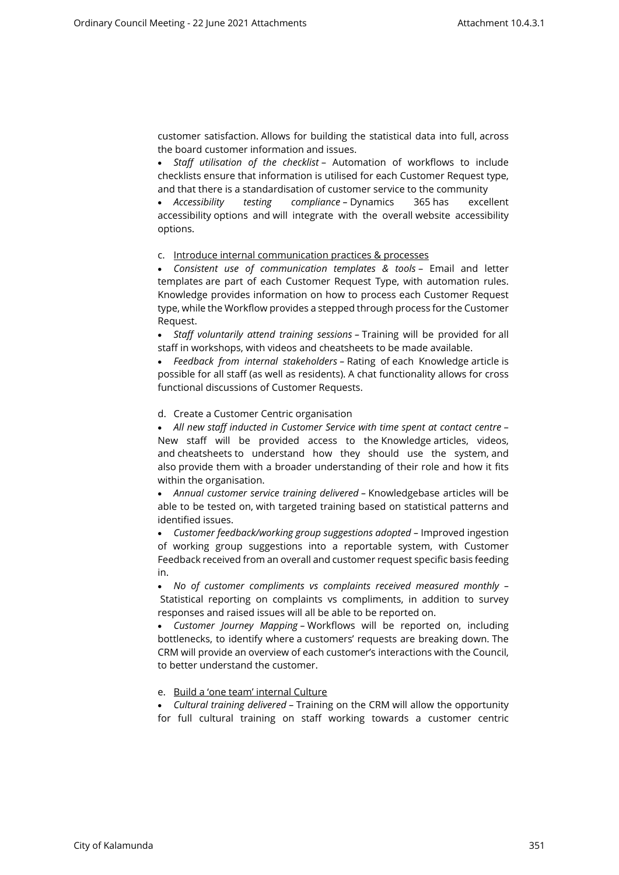customer satisfaction. Allows for building the statistical data into full, across the board customer information and issues.

 *Staff utilisation of the checklist* – Automation of workflows to include checklists ensure that information is utilised for each Customer Request type, and that there is a standardisation of customer service to the community

 *Accessibility testing compliance –* Dynamics 365 has excellent accessibility options and will integrate with the overall website accessibility options.

#### c. Introduce internal communication practices & processes

 *Consistent use of communication templates & tools* – Email and letter templates are part of each Customer Request Type, with automation rules. Knowledge provides information on how to process each Customer Request type, while the Workflow provides a stepped through process for the Customer Request.

 *Staff voluntarily attend training sessions –* Training will be provided for all staff in workshops, with videos and cheatsheets to be made available.

 *Feedback from internal stakeholders –* Rating of each Knowledge article is possible for all staff (as well as residents). A chat functionality allows for cross functional discussions of Customer Requests.

#### d. Create a Customer Centric organisation

 *All new staff inducted in Customer Service with time spent at contact centre* – New staff will be provided access to the Knowledge articles, videos, and cheatsheets to understand how they should use the system, and also provide them with a broader understanding of their role and how it fits within the organisation.

 *Annual customer service training delivered –* Knowledgebase articles will be able to be tested on, with targeted training based on statistical patterns and identified issues.

 *Customer feedback/working group suggestions adopted –* Improved ingestion of working group suggestions into a reportable system, with Customer Feedback received from an overall and customer request specific basis feeding in.

 *No of customer compliments vs complaints received measured monthly –* Statistical reporting on complaints vs compliments, in addition to survey responses and raised issues will all be able to be reported on.

 *Customer Journey Mapping –* Workflows will be reported on, including bottlenecks, to identify where a customers' requests are breaking down. The CRM will provide an overview of each customer's interactions with the Council, to better understand the customer.

#### e. Build a 'one team' internal Culture

 *Cultural training delivered* – Training on the CRM will allow the opportunity for full cultural training on staff working towards a customer centric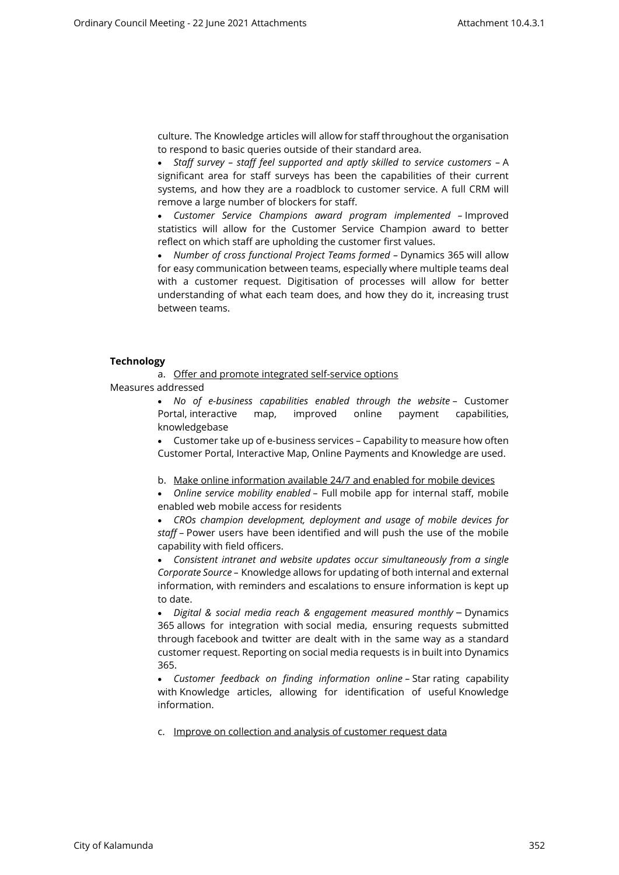culture. The Knowledge articles will allow for staff throughout the organisation to respond to basic queries outside of their standard area.

 *Staff survey – staff feel supported and aptly skilled to service customers –* A significant area for staff surveys has been the capabilities of their current systems, and how they are a roadblock to customer service. A full CRM will remove a large number of blockers for staff.

 *Customer Service Champions award program implemented –* Improved statistics will allow for the Customer Service Champion award to better reflect on which staff are upholding the customer first values.

• Number of cross functional Project Teams formed - Dynamics 365 will allow for easy communication between teams, especially where multiple teams deal with a customer request. Digitisation of processes will allow for better understanding of what each team does, and how they do it, increasing trust between teams.

#### **Technology**

a. Offer and promote integrated self-service options

Measures addressed

 *No of e-business capabilities enabled through the website* – Customer Portal, interactive map, improved online payment capabilities, knowledgebase

 Customer take up of e-business services – Capability to measure how often Customer Portal, Interactive Map, Online Payments and Knowledge are used.

b. Make online information available 24/7 and enabled for mobile devices

 *Online service mobility enabled* – Full mobile app for internal staff, mobile enabled web mobile access for residents

 *CROs champion development, deployment and usage of mobile devices for staff* – Power users have been identified and will push the use of the mobile capability with field officers.

 *Consistent intranet and website updates occur simultaneously from a single Corporate Source –* Knowledge allows for updating of both internal and external information, with reminders and escalations to ensure information is kept up to date.

 *Digital & social media reach & engagement measured monthly* – Dynamics 365 allows for integration with social media, ensuring requests submitted through facebook and twitter are dealt with in the same way as a standard customer request. Reporting on social media requests is in built into Dynamics 365.

 *Customer feedback on finding information online –* Star rating capability with Knowledge articles, allowing for identification of useful Knowledge information.

c. Improve on collection and analysis of customer request data